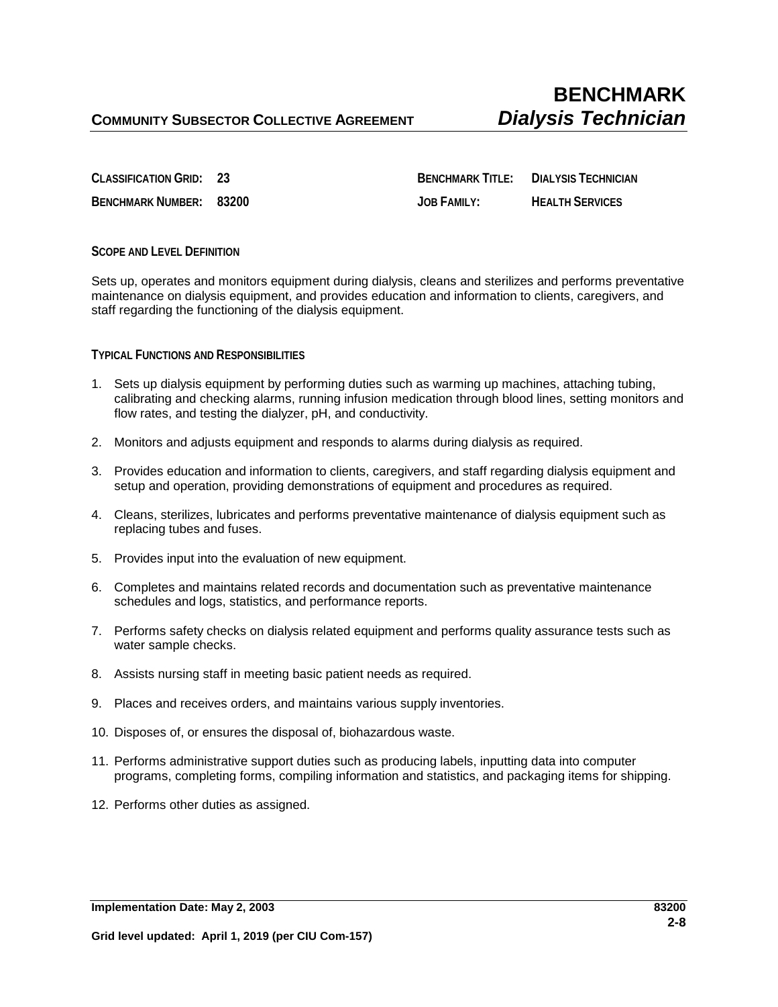**CLASSIFICATION GRID: 23 BENCHMARK TITLE: DIALYSIS TECHNICIAN BENCHMARK NUMBER: 83200 JOB FAMILY: HEALTH SERVICES**

## **SCOPE AND LEVEL DEFINITION**

Sets up, operates and monitors equipment during dialysis, cleans and sterilizes and performs preventative maintenance on dialysis equipment, and provides education and information to clients, caregivers, and staff regarding the functioning of the dialysis equipment.

## **TYPICAL FUNCTIONS AND RESPONSIBILITIES**

- 1. Sets up dialysis equipment by performing duties such as warming up machines, attaching tubing, calibrating and checking alarms, running infusion medication through blood lines, setting monitors and flow rates, and testing the dialyzer, pH, and conductivity.
- 2. Monitors and adjusts equipment and responds to alarms during dialysis as required.
- 3. Provides education and information to clients, caregivers, and staff regarding dialysis equipment and setup and operation, providing demonstrations of equipment and procedures as required.
- 4. Cleans, sterilizes, lubricates and performs preventative maintenance of dialysis equipment such as replacing tubes and fuses.
- 5. Provides input into the evaluation of new equipment.
- 6. Completes and maintains related records and documentation such as preventative maintenance schedules and logs, statistics, and performance reports.
- 7. Performs safety checks on dialysis related equipment and performs quality assurance tests such as water sample checks.
- 8. Assists nursing staff in meeting basic patient needs as required.
- 9. Places and receives orders, and maintains various supply inventories.
- 10. Disposes of, or ensures the disposal of, biohazardous waste.
- 11. Performs administrative support duties such as producing labels, inputting data into computer programs, completing forms, compiling information and statistics, and packaging items for shipping.
- 12. Performs other duties as assigned.